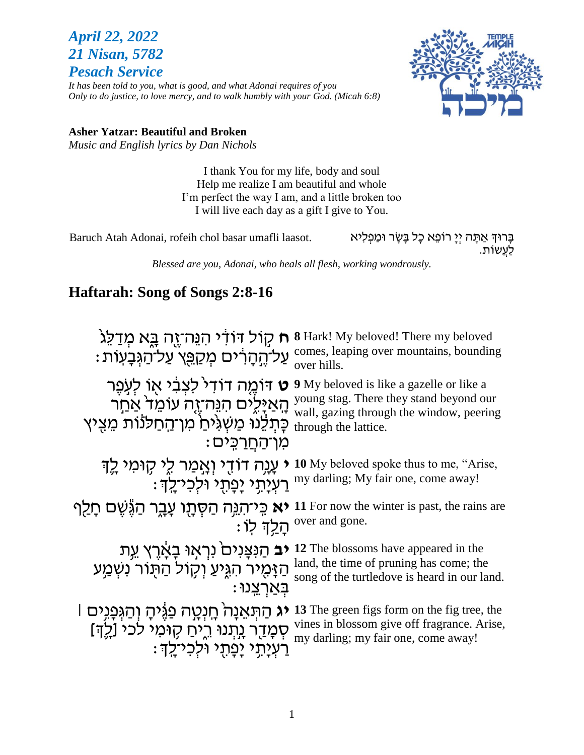# *April 22, 2022 21 Nisan, 5782 Pesach Service*

*It has been told to you, what is good, and what Adonai requires of you Only to do justice, to love mercy, and to walk humbly with your God. (Micah 6:8)*



#### **Asher Yatzar: Beautiful and Broken**

*Music and English lyrics by Dan Nichols*

I thank You for my life, body and soul Help me realize I am beautiful and whole I'm perfect the way I am, and a little broken too I will live each day as a gift I give to You.

Baruch Atah Adonai, rofeih chol basar umafli laasot.

בָּרוּדְּ אַתָּה יְיָ רוֹפֵא כָל בָּשָׂר וּמַפְלִיא<br>לַעֲשוֹת.

*Blessed are you, Adonai, who heals all flesh, working wondrously.*

# **Haftarah: Song of Songs 2:8-16**

**ח** קול דודי הנֵה־זֻה בֵּא מְדַלֵּגֹ 8 Blark! My beloved! There my beloved עַל־הַגְּבָעוֹת: comes, leaping over mountains, bounding comes, leaping עַל־הַגְּבָעוֹת over hills. **ט** דוֹמֶה דוֹד<sup>ַר</sup> לִצְבִ֫י אֶו לְעָפֶר ֶּ הָאַיָּלֶים הִנֵּה־זֶה עוֹמֵד אַחַר ™ ּכְּתְלֵנֹוּ מַשְגִּיּחַ מִן־הַחַלנות מֵצִיץ מו־החרכּים: **9** My beloved is like a gazelle or like a young stag. There they stand beyond our wall, gazing through the window, peering through the lattice. **י** עָגָה דוֹדָי וְאָמַר לֵי קָוּמי לֵךְ : יִפְ<sup>ּ</sup>תְי יִפְ<sup>ּ</sup>תְי וּלְכִי־לְדְ **10** My beloved spoke thus to me, "Arise, my darling; My fair one, come away! **יא** כִּי־הִגְּה הַסְּתָו עָבֶר הַגֶּשֶׁם חָלַף ָּהַָ֥לְך ֽלֹו׃ **11** For now the winter is past, the rains are over and gone. **יב** הַנִּצְנִים נִרְאָוּ בָאָרֶץ עֵת The blossoms have appeared in the הַ זָּמְיד הִגְּיעַ וְקָוֹל הַרְנוֹר נִשְמַע he time of pruning has come; the הַנְאֲמַע וֹ : בְאַרְצֵנו song of the turtledove is heard in our land. יג הַתְּאֵנָה<sup>ַ</sup> חֲנְטֵה פַגֶּיהָ וְהַגְּפָגִים l3 The green figs form on the fig tree, the ּיֵ סְמָדַר נִתְנוּ רֵיחַ קָוּמִי לכי [לֶדְ]<br>" רַעְיָתָ( יָפָו*ּ*תָ( וֹלְכִי־לָךָ) <u>'''</u> vines in blossom give off fragrance. Arise, my darling; my fair one, come away!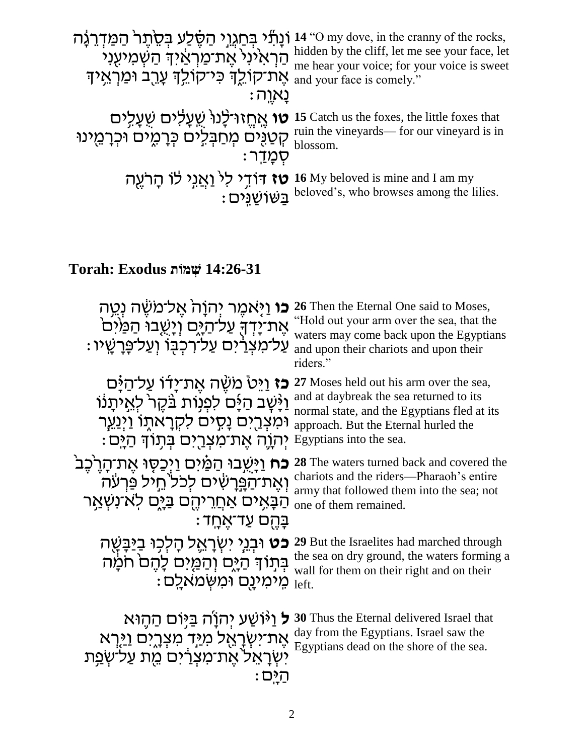|                                                                                                                                                                 | וֹנָתוֹל בְּחַגְוֹי הַשָּׁלַע בְּסֵוְתָר <sup>וּ</sup> הַמַּדְרֵגֶה 14 "O my dove, in the cranny of the rocks,<br>הַרְאִינִי אֶת־מַרְאַיִּךְ הַשְׁמִיעֻנִי<br>me hear your voice; for your voice is sweet הַרְאִינִי אֶת־מַרְאַיךְ הַשְׁמִיעֻ |
|-----------------------------------------------------------------------------------------------------------------------------------------------------------------|-----------------------------------------------------------------------------------------------------------------------------------------------------------------------------------------------------------------------------------------------|
| את־קוֹלֶךְ כּי־קוֹלֶךְ עָרֻב וּמַרְאֵיךְ" (and your face is comely."                                                                                            |                                                                                                                                                                                                                                               |
| : נאוה                                                                                                                                                          |                                                                                                                                                                                                                                               |
|                                                                                                                                                                 |                                                                                                                                                                                                                                               |
| <b>ו אֶחֱזוּ־לָנוֹ שְׁעֲלִים שִׁעֲלִים</b><br>קְטַנֻּים מְחַבְּלֵים כְּרָמֶים וֹכְרָמֵינוּ<br>הְטַנֻּים מְחַבְּלֵים כְּרָמֶים וֹכְרָמֵינוּ <sub>blossom</sub> . |                                                                                                                                                                                                                                               |
| ּסָמ <u>ַד</u> ר:                                                                                                                                               |                                                                                                                                                                                                                                               |
|                                                                                                                                                                 | <b>יז דּוֹדְי לִי וַאֲנִי לֹו הָרֹעֶה</b> 16 My beloved is mine and I am my<br>בַּשׁוֹשֵׁנֵּים :<br>בַּשׁוֹשַׁנֵּים beloved's, who browses among the lilies.                                                                                  |
|                                                                                                                                                                 |                                                                                                                                                                                                                                               |

# **14:26-31 שְׁ מֹות Exodus :Torah**

| <b>כו</b> וַיָּאמֶר יִהוָה <sup>ָ</sup> אֱל־משֶׂה נְטֵה<br>אַת־יַדְךָּ עַל־הַיֶּם וְיָשֶׁבוּ הַמַּיֹּם<br>ּעַל־מצְרַ֫יִם עַל־רְכִבְּוֹ וְעַל־פְּרָשֵׁיו                                | 26 Then the Eternal One said to Moses,<br>"Hold out your arm over the sea, that the<br>waters may come back upon the Egyptians<br>and upon their chariots and upon their<br>riders."                 |
|----------------------------------------------------------------------------------------------------------------------------------------------------------------------------------------|------------------------------------------------------------------------------------------------------------------------------------------------------------------------------------------------------|
| <b>כז</b> וַיֵּטْ משֶׁה אֵת־יַדו עַל־הַיַּם<br>וַיָּשָׁב הַיָּם לִפְנִוּת בַּקֵר לְאֵיתָנוֹ<br>וּמִצְרֵיִם נָסְיִם לִקְרָאתֶוֹ וַיְנַעֱר<br>יִהְוֶה אֵת־מִצְרֵיִם בִּתְּוֹדְּ הַיֵּם : | 27 Moses held out his arm over the sea,<br>and at daybreak the sea returned to its<br>normal state, and the Egyptians fled at its<br>approach. But the Eternal hurled the<br>Egyptians into the sea. |
| <b>ֹכֹח</b> וַיַּשֻבוּ הַמַּׁיִּם וַיְּכַסֶּוּ אֵת־הָרֵבֶּב<br>וְאֶת־הַפְּרָשִׁים לִכל הֵיל פַּרִעֹּה<br>הַבָּאֵים אַחֲרֵיהֵם בַּיָּם לֹא־נִשְׁאַר<br>ּבַּהֵם עַד־אֵחֲד                | 28 The waters turned back and covered the<br>chariots and the riders—Pharaoh's entire<br>army that followed them into the sea; not<br>one of them remained.                                          |
| <b>כט</b> וּבְגֵי יִשְׂרָאֱל הָלִכְוּ בַיַּבַּשֵּׁה<br>בְּתְוֹךְ הַיָּם וְהַמֵּים לַהֵם חֹמַׂה<br>מֵימִינֵם וּמִשָּׂמאַלֵם:                                                            | 29 But the Israelites had marched through<br>the sea on dry ground, the waters forming a<br>wall for them on their right and on their<br>left.                                                       |
| <b>ל</b> וַיۡוֹשַׁע יִהוֹ֑ה בַּיּֽוֹם הַהֵוּא<br>אֶת־יִשְׂרָאֵל מִיַּד מִצְרֶיִם <u>ו</u> יַּרְא<br>יִשְׂרָאֵל אֶת־מַצְרַיִם מֶת עַל־שְׂפַת                                            | 30 Thus the Eternal delivered Israel that<br>day from the Egyptians. Israel saw the<br>Egyptians dead on the shore of the sea.                                                                       |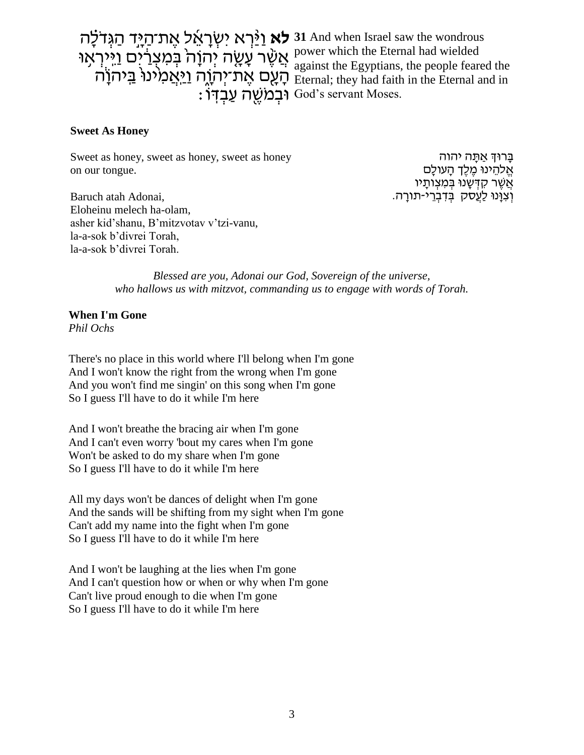יִשְׁרָאֵל אֶת־הַיְּיָד הַגְּדֹלָה 31 And when Israel saw the wondrous אֲ אֲשֶׁר עָׁשֶׂה יְהוָה בְּמִצְרַ֫יִם וַיִּירְאָוּ <sup>គ</sup> הָּ הָעֶם אֶת־יְהוֶה <u>וַי</u>ּאֲמִינוּ בַּיהוָה ב : יִּבְמֹשֶׁה עַבְדִּוֹ God's servant Moses.

power which the Eternal had wielded against the Egyptians, the people feared the Eternal; they had faith in the Eternal and in

#### **Sweet As Honey**

Sweet as honey, sweet as honey, sweet as honey on our tongue.

בַּרוּדְ אַתַּה יהוה אֱלהֵינוּ מֵלֵךְ הַעולַם אֲשֶׁר קִדְּשָׁנוּ בִּמְצְותָיו וְצְוָּנוּ לַעֲסֹק בִּדְבְרֵי-תורָה.

Baruch atah Adonai, Eloheinu melech ha-olam, asher kid'shanu, B'mitzvotav v'tzi-vanu, la-a-sok b'divrei Torah, la-a-sok b'divrei Torah.

> *Blessed are you, Adonai our God, Sovereign of the universe, who hallows us with mitzvot, commanding us to engage with words of Torah.*

## **When I'm Gone**

*Phil Ochs*

There's no place in this world where I'll belong when I'm gone And I won't know the right from the wrong when I'm gone And you won't find me singin' on this song when I'm gone So I guess I'll have to do it while I'm here

And I won't breathe the bracing air when I'm gone And I can't even worry 'bout my cares when I'm gone Won't be asked to do my share when I'm gone So I guess I'll have to do it while I'm here

All my days won't be dances of delight when I'm gone And the sands will be shifting from my sight when I'm gone Can't add my name into the fight when I'm gone So I guess I'll have to do it while I'm here

And I won't be laughing at the lies when I'm gone And I can't question how or when or why when I'm gone Can't live proud enough to die when I'm gone So I guess I'll have to do it while I'm here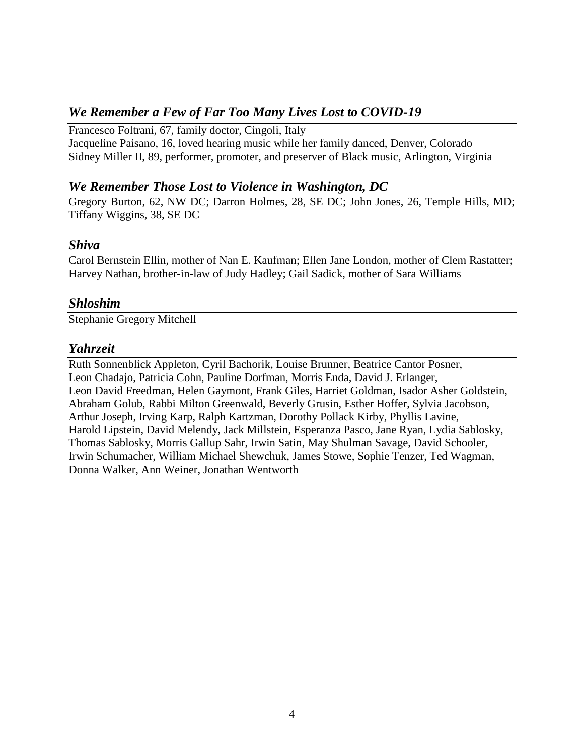### *We Remember a Few of Far Too Many Lives Lost to COVID-19*

Francesco Foltrani, 67, family doctor, Cingoli, Italy Jacqueline Paisano, 16, loved hearing music while her family danced, Denver, Colorado Sidney Miller II, 89, performer, promoter, and preserver of Black music, Arlington, Virginia

#### *We Remember Those Lost to Violence in Washington, DC*

Gregory Burton, 62, NW DC; Darron Holmes, 28, SE DC; John Jones, 26, Temple Hills, MD; Tiffany Wiggins, 38, SE DC

#### *Shiva*

Carol Bernstein Ellin, mother of Nan E. Kaufman; Ellen Jane London, mother of Clem Rastatter; Harvey Nathan, brother-in-law of Judy Hadley; Gail Sadick, mother of Sara Williams

#### *Shloshim*

Stephanie Gregory Mitchell

#### *Yahrzeit*

Ruth Sonnenblick Appleton, Cyril Bachorik, Louise Brunner, Beatrice Cantor Posner, Leon Chadajo, Patricia Cohn, Pauline Dorfman, Morris Enda, David J. Erlanger, Leon David Freedman, Helen Gaymont, Frank Giles, Harriet Goldman, Isador Asher Goldstein, Abraham Golub, Rabbi Milton Greenwald, Beverly Grusin, Esther Hoffer, Sylvia Jacobson, Arthur Joseph, Irving Karp, Ralph Kartzman, Dorothy Pollack Kirby, Phyllis Lavine, Harold Lipstein, David Melendy, Jack Millstein, Esperanza Pasco, Jane Ryan, Lydia Sablosky, Thomas Sablosky, Morris Gallup Sahr, Irwin Satin, May Shulman Savage, David Schooler, Irwin Schumacher, William Michael Shewchuk, James Stowe, Sophie Tenzer, Ted Wagman, Donna Walker, Ann Weiner, Jonathan Wentworth